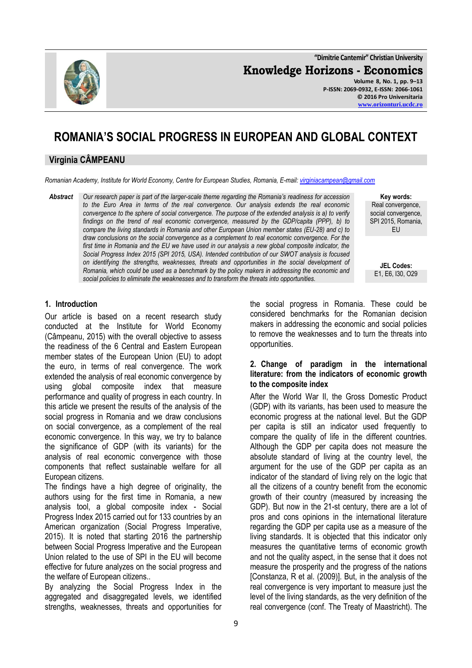**"Dimitrie Cantemir" Christian University**

**Knowledge Horizons - Economics**

**Volume 8, No. 1, pp. 9–13 P-ISSN: 2069-0932, E-ISSN: 2066-1061 © 2016 Pro Universitaria [www.orizonturi.ucdc.ro](http://www.orizonturi.ucdc.ro/)**

# **ROMANIA'S SOCIAL PROGRESS IN EUROPEAN AND GLOBAL CONTEXT**

## **Virginia CÂMPEANU**

*Romanian Academy, Institute for World Economy, Centre for European Studies, Romania, E-mail[: virginiacampean@gmail.com](mailto:virginiacampean@gmail.com)*

*Abstract Our research paper is part of the larger-scale theme regarding the Romania's readiness for accession to the Euro Area in terms of the real convergence. Our analysis extends the real economic convergence to the sphere of social convergence. The purpose of the extended analysis is a) to verify findings on the trend of real economic convergence, measured by the GDP/capita (PPP), b) to compare the living standards in Romania and other European Union member states (EU-28) and c) to draw conclusions on the social convergence as a complement to real economic convergence. For the first time in Romania and the EU we have used in our analysis a new global composite indicator, the Social Progress Index 2015 (SPI 2015, USA). Intended contribution of our SWOT analysis is focused on identifying the strengths, weaknesses, threats and opportunities in the social development of Romania, which could be used as a benchmark by the policy makers in addressing the economic and social policies to eliminate the weaknesses and to transform the threats into opportunities.*

**Key words:** Real convergence, social convergence, SPI 2015, Romania, EU

**JEL Codes:** E1, E6, I30, O29

## **1. Introduction**

Our article is based on a recent research study conducted at the Institute for World Economy (Câmpeanu, 2015) with the overall objective to assess the readiness of the 6 Central and Eastern European member states of the European Union (EU) to adopt the euro, in terms of real convergence. The work extended the analysis of real economic convergence by using global composite index that measure performance and quality of progress in each country. In this article we present the results of the analysis of the social progress in Romania and we draw conclusions on social convergence, as a complement of the real economic convergence. In this way, we try to balance the significance of GDP (with its variants) for the analysis of real economic convergence with those components that reflect sustainable welfare for all European citizens.

The findings have a high degree of originality, the authors using for the first time in Romania, a new analysis tool, a global composite index - Social Progress Index 2015 carried out for 133 countries by an American organization (Social Progress Imperative, 2015). It is noted that starting 2016 the partnership between Social Progress Imperative and the European Union related to the use of SPI in the EU will become effective for future analyzes on the social progress and the welfare of European citizens..

By analyzing the Social Progress Index in the aggregated and disaggregated levels, we identified strengths, weaknesses, threats and opportunities for

the social progress in Romania. These could be considered benchmarks for the Romanian decision makers in addressing the economic and social policies to remove the weaknesses and to turn the threats into opportunities.

#### **2. Change of paradigm in the international literature: from the indicators of economic growth to the composite index**

After the World War II, the Gross Domestic Product (GDP) with its variants, has been used to measure the economic progress at the national level. But the GDP per capita is still an indicator used frequently to compare the quality of life in the different countries. Although the GDP per capita does not measure the absolute standard of living at the country level, the argument for the use of the GDP per capita as an indicator of the standard of living rely on the logic that all the citizens of a country benefit from the economic growth of their country (measured by increasing the GDP). But now in the 21-st century, there are a lot of pros and cons opinions in the international literature regarding the GDP per capita use as a measure of the living standards. It is objected that this indicator only measures the quantitative terms of economic growth and not the quality aspect, in the sense that it does not measure the prosperity and the progress of the nations [Constanza, R et al. (2009)]. But, in the analysis of the real convergence is very important to measure just the level of the living standards, as the very definition of the real convergence (conf. The Treaty of Maastricht). The

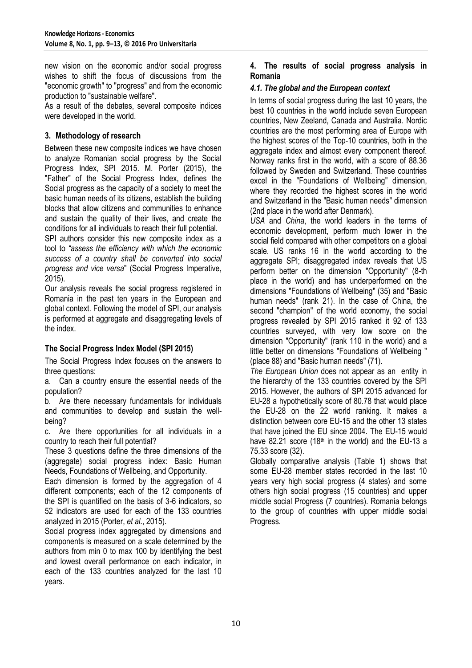new vision on the economic and/or social progress wishes to shift the focus of discussions from the "economic growth" to "progress" and from the economic production to "sustainable welfare".

As a result of the debates, several composite indices were developed in the world.

## **3. Methodology of research**

Between these new composite indices we have chosen to analyze Romanian social progress by the Social Progress Index, SPI 2015. M. Porter (2015), the "Father" of the Social Progress Index, defines the Social progress as the capacity of a society to meet the basic human needs of its citizens, establish the building blocks that allow citizens and communities to enhance and sustain the quality of their lives, and create the conditions for all individuals to reach their full potential.

SPI authors consider this new composite index as a tool to *"assess the efficiency with which the economic success of a country shall be converted into social progress and vice versa*" (Social Progress Imperative, 2015).

Our analysis reveals the social progress registered in Romania in the past ten years in the European and global context. Following the model of SPI, our analysis is performed at aggregate and disaggregating levels of the index.

## **The Social Progress Index Model (SPI 2015)**

The Social Progress Index focuses on the answers to three questions:

a. Can a country ensure the essential needs of the population?

b. Are there necessary fundamentals for individuals and communities to develop and sustain the wellbeing?

c. Are there opportunities for all individuals in a country to reach their full potential?

These 3 questions define the three dimensions of the (aggregate) social progress index: Basic Human Needs, Foundations of Wellbeing, and Opportunity.

Each dimension is formed by the aggregation of 4 different components; each of the 12 components of the SPI is quantified on the basis of 3-6 indicators, so 52 indicators are used for each of the 133 countries analyzed in 2015 (Porter, *et al*., 2015).

Social progress index aggregated by dimensions and components is measured on a scale determined by the authors from min 0 to max 100 by identifying the best and lowest overall performance on each indicator, in each of the 133 countries analyzed for the last 10 years.

## **4. The results of social progress analysis in Romania**

## *4.1. The global and the European context*

In terms of social progress during the last 10 years, the best 10 countries in the world include seven European countries, New Zeeland, Canada and Australia. Nordic countries are the most performing area of Europe with the highest scores of the Top-10 countries, both in the aggregate index and almost every component thereof. Norway ranks first in the world, with a score of 88.36 followed by Sweden and Switzerland. These countries excel in the "Foundations of Wellbeing" dimension, where they recorded the highest scores in the world and Switzerland in the "Basic human needs" dimension (2nd place in the world after Denmark).

*USA* and *China*, the world leaders in the terms of economic development, perform much lower in the social field compared with other competitors on a global scale. US ranks 16 in the world according to the aggregate SPI; disaggregated index reveals that US perform better on the dimension "Opportunity" (8-th place in the world) and has underperformed on the dimensions "Foundations of Wellbeing" (35) and "Basic human needs" (rank 21). In the case of China, the second "champion" of the world economy, the social progress revealed by SPI 2015 ranked it 92 of 133 countries surveyed, with very low score on the dimension "Opportunity" (rank 110 in the world) and a little better on dimensions "Foundations of Wellbeing " (place 88) and "Basic human needs" (71).

*The European Union* does not appear as an entity in the hierarchy of the 133 countries covered by the SPI 2015. However, the authors of SPI 2015 advanced for EU-28 a hypothetically score of 80.78 that would place the EU-28 on the 22 world ranking. It makes a distinction between core EU-15 and the other 13 states that have joined the EU since 2004. The EU-15 would have 82.21 score (18<sup>th</sup> in the world) and the EU-13 a 75.33 score (32).

Globally comparative analysis (Table 1) shows that some EU-28 member states recorded in the last 10 years very high social progress (4 states) and some others high social progress (15 countries) and upper middle social Progress (7 countries). Romania belongs to the group of countries with upper middle social Progress.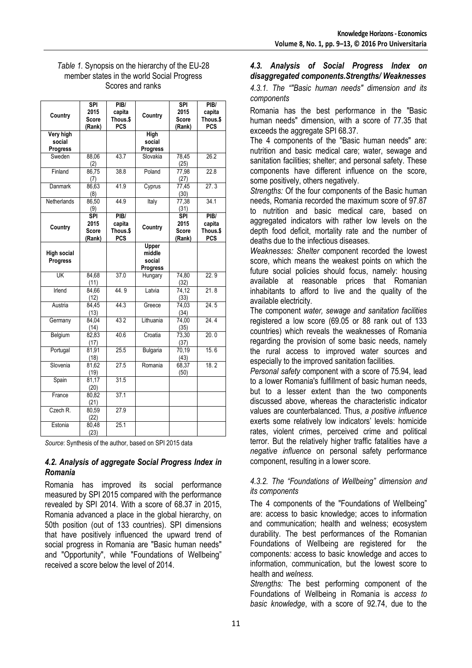### *Table 1.* Synopsis on the hierarchy of the EU-28 member states in the world Social Progress Scores and ranks

| Country                                | <b>SPI</b><br>2015<br>Score                  | PIB/<br>capita<br>Thous.\$               | Country                               | <b>SPI</b><br>2015<br><b>Score</b>                        | PIB/<br>capita<br>Thous.\$               |
|----------------------------------------|----------------------------------------------|------------------------------------------|---------------------------------------|-----------------------------------------------------------|------------------------------------------|
|                                        | (Rank)                                       | <b>PCS</b>                               |                                       | (Rank)                                                    | <b>PCS</b>                               |
| Very high<br>social<br><b>Progress</b> |                                              |                                          | High<br>social<br>Progress            |                                                           |                                          |
| Sweden                                 | 88,06<br>(2)                                 | 43.7                                     | Slovakia                              | 78,45<br>(25)                                             | 26.2                                     |
| Finland                                | 86,75<br>(7)                                 | 38.8                                     | Poland                                | 77,98<br>(27)                                             | 22.8                                     |
| Danmark                                | 86,63<br>(8)                                 | 41.9                                     | Cyprus                                | 77,45<br>(30)                                             | $\overline{27.3}$                        |
| Netherlands                            | 86,50<br>(9)                                 | 44.9                                     | Italy                                 | 77,38<br>(31)                                             | 34.1                                     |
| Country                                | <b>SPI</b><br>2015<br><b>Score</b><br>(Rank) | PIB/<br>capita<br>Thous.\$<br><b>PCS</b> | Country                               | $\overline{\text{SPI}}$<br>2015<br><b>Score</b><br>(Rank) | PIB/<br>capita<br>Thous.\$<br><b>PCS</b> |
| <b>High social</b><br>Progress         |                                              |                                          | Upper<br>middle<br>social<br>Progress |                                                           |                                          |
| UK                                     | 84,68<br>(11)                                | 37.0                                     | Hungary                               | 74,80<br>(32)                                             | 22.9                                     |
| Irlend                                 | 84,66<br>(12)                                | 44.9                                     | Latvia                                | 74.12<br>(33)                                             | 21.8                                     |
| Austria                                | 84,45<br>(13)                                | 44.3                                     | Greece                                | 74,03<br>(34)                                             | 24.5                                     |
| Germany                                | 84,04<br>(14)                                | 432                                      | Lithuania                             | 74,00<br>(35)                                             | 24.4                                     |
| Belgium                                | 82,83<br>(17)                                | 40.6                                     | Croatia                               | 73,30<br>(37)                                             | 20.0                                     |
| Portugal                               | 81,91<br>(18)                                | 25.5                                     | <b>Bulgaria</b>                       | 70,19<br>(43)                                             | 15.6                                     |
| Slovenia                               | 81,62<br>(19)                                | 27.5                                     | Romania                               | 68,37<br>(50)                                             | 18.2                                     |
| Spain                                  | 81,17<br>(20)                                | 31.5                                     |                                       |                                                           |                                          |
| France                                 | 80,82<br>(21)                                | 37.1                                     |                                       |                                                           |                                          |
| Czech R.                               | 80,59<br>(22)                                | 27.9                                     |                                       |                                                           |                                          |
| Estonia                                | 80,48<br>(23)                                | 25.1                                     |                                       |                                                           |                                          |

*Source*: Synthesis of the author, based on SPI 2015 data

## *4.2. Analysis of aggregate Social Progress Index in Romania*

Romania has improved its social performance measured by SPI 2015 compared with the performance revealed by SPI 2014. With a score of 68.37 in 2015, Romania advanced a place in the global hierarchy, on 50th position (out of 133 countries). SPI dimensions that have positively influenced the upward trend of social progress in Romania are "Basic human needs" and "Opportunity", while "Foundations of Wellbeing" received a score below the level of 2014.

# *4.3. Analysis of Social Progress Index on disaggregated components.Strengths/ Weaknesses*

*4.3.1. The ""Basic human needs" dimension and its components* 

Romania has the best performance in the "Basic human needs" dimension, with a score of 77.35 that exceeds the aggregate SPI 68.37.

The 4 components of the "Basic human needs" are: nutrition and basic medical care; water, sewage and sanitation facilities; shelter; and personal safety. These components have different influence on the score, some positively, others negatively.

*Strengths:* Of the four components of the Basic human needs, Romania recorded the maximum score of 97.87 to nutrition and basic medical care, based on aggregated indicators with rather low levels on the depth food deficit, mortality rate and the number of deaths due to the infectious diseases.

*Weaknesses: Shelter* component recorded the lowest score, which means the weakest points on which the future social policies should focus, namely: housing available at reasonable prices that Romanian inhabitants to afford to live and the quality of the available electricity.

The component *water, sewage and sanitation facilities* registered a low score (69.05 or 88 rank out of 133 countries) which reveals the weaknesses of Romania regarding the provision of some basic needs, namely the rural access to improved water sources and especially to the improved sanitation facilities.

*Personal safety* component with a score of 75.94, lead to a lower Romania's fulfillment of basic human needs, but to a lesser extent than the two components discussed above, whereas the characteristic indicator values are counterbalanced. Thus, *a positive influence* exerts some relatively low indicators' levels: homicide rates, violent crimes, perceived crime and political terror. But the relatively higher traffic fatalities have *a negative influence* on personal safety performance component, resulting in a lower score.

## *4.3.2. The "Foundations of Wellbeing" dimension and its components*

The 4 components of the "Foundations of Wellbeing" are: access to basic knowledge; acces to information and communication; health and welness; ecosystem durability. The best performances of the Romanian Foundations of Wellbeing are registered for the components*:* access to basic knowledge and acces to information, communication, but the lowest score to health and *welness.*

*Strengths:* The best performing component of the Foundations of Wellbeing in Romania is *access to basic knowledge*, with a score of 92.74, due to the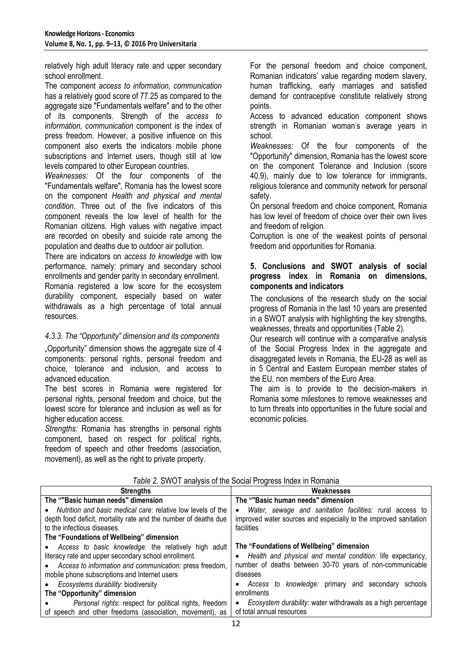relatively high adult literacy rate and upper secondary school enrollment.

The component *access to information, communication* has a relatively good score of 77.25 as compared to the aggregate size "Fundamentals welfare" and to the other of its components. Strength of the *access to information, communication* component is the index of press freedom. However, a positive influence on this component also exerts the indicators mobile phone subscriptions and Internet users, though still at low levels compared to other European countries.

*Weaknesses:* Of the four components of the "Fundamentals welfare", Romania has the lowest score on the component *Health and physical and mental condition*. Three out of the five indicators of this component reveals the low level of health for the Romanian citizens. High values with negative impact are recorded on obesity and suicide rate among the population and deaths due to outdoor air pollution.

There are indicators on *access to knowledge* with low performance, namely: primary and secondary school enrollments and gender parity in secondary enrollment. Romania registered a low score for the ecosystem durability component, especially based on water withdrawals as a high percentage of total annual resources.

# *4.3.3. The "Opportunity" dimension and its components*

"Opportunity" dimension shows the aggregate size of 4 components: personal rights, personal freedom and choice, tolerance and inclusion, and access to advanced education.

The best scores in Romania were registered for personal rights, personal freedom and choice, but the lowest score for tolerance and inclusion as well as for higher education access.

*Strengths:* Romania has strengths in personal rights component, based on respect for political rights, freedom of speech and other freedoms (association, movement), as well as the right to private property.

For the personal freedom and choice component, Romanian indicators' value regarding modern slavery, human trafficking, early marriages and satisfied demand for contraceptive constitute relatively strong points.

Access to advanced education component shows strength in Romanian woman's average years in school.

*Weaknesses:* Of the four components of the "Opportunity" dimension, Romania has the lowest score on the component Tolerance and Inclusion (score 40.9), mainly due to low tolerance for immigrants, religious tolerance and community network for personal safety.

On personal freedom and choice component, Romania has low level of freedom of choice over their own lives and freedom of religion.

Corruption is one of the weakest points of personal freedom and opportunities for Romania.

### **5. Conclusions and SWOT analysis of social progress index in Romania on dimensions, components and indicators**

The conclusions of the research study on the social progress of Romania in the last 10 years are presented in a SWOT analysis with highlighting the key strengths, weaknesses, threats and opportunities (Table 2).

Our research will continue with a comparative analysis of the Social Progress Index in the aggregate and disaggregated levels in Romania, the EU-28 as well as in 5 Central and Eastern European member states of the FU, non members of the Furo Area.

The aim is to provide to the decision-makers in Romania some milestones to remove weaknesses and to turn threats into opportunities in the future social and economic policies.

| <b>Strengths</b>                                                                                                                                                                                                             | Weaknesses                                                                                                                                                                       |
|------------------------------------------------------------------------------------------------------------------------------------------------------------------------------------------------------------------------------|----------------------------------------------------------------------------------------------------------------------------------------------------------------------------------|
| The ""Basic human needs" dimension                                                                                                                                                                                           | The ""Basic human needs" dimension                                                                                                                                               |
| Nutrition and basic medical care: relative low levels of the<br>depth food deficit, mortality rate and the number of deaths due<br>to the infectious diseases.                                                               | Water, sewage and sanitation facilities: rural access to<br>$\bullet$<br>improved water sources and especially to the improved sanitation<br>facilities                          |
| The "Foundations of Wellbeing" dimension                                                                                                                                                                                     |                                                                                                                                                                                  |
|                                                                                                                                                                                                                              |                                                                                                                                                                                  |
| • Access to basic knowledge: the relatively high adult<br>literacy rate and upper secondary school enrollment.<br>• Access to information and communication: press freedom,<br>mobile phone subscriptions and Internet users | The "Foundations of Wellbeing" dimension<br>• Health and physical and mental condition: life expectancy,<br>number of deaths between 30-70 years of non-communicable<br>diseases |
| Ecosystems durability: biodiversity                                                                                                                                                                                          | Access to knowledge: primary and secondary<br>schools<br>$\bullet$                                                                                                               |
| The "Opportunity" dimension                                                                                                                                                                                                  | enrollments                                                                                                                                                                      |
| Personal rights: respect for political rights, freedom<br>of speech and other freedoms (association, movement), as                                                                                                           | Ecosystem durability: water withdrawals as a high percentage<br>$\bullet$<br>of total annual resources                                                                           |

#### *Table 2.* SWOT analysis of the Social Progress Index in Romania